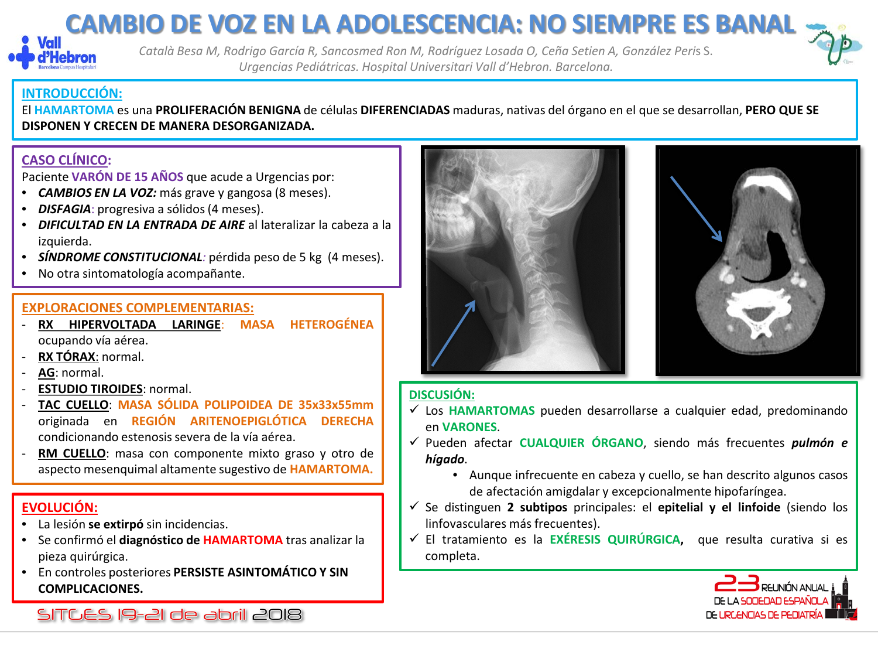## **CAMBIO DE VOZ EN LA ADOLESCENCIA: NO SIEMPRE ES BANAL**



*Català Besa M, Rodrigo García R, Sancosmed Ron M, Rodríguez Losada O, Ceña Setien A, González Peri*s S. *Urgencias Pediátricas. Hospital Universitari Vall d'Hebron. Barcelona.*



### **INTRODUCCIÓN:**

El **HAMARTOMA** es una **PROLIFERACIÓN BENIGNA** de células **DIFERENCIADAS** maduras, nativas del órgano en el que se desarrollan, **PERO QUE SE DISPONEN Y CRECEN DE MANERA DESORGANIZADA.**

### **CASO CLÍNICO:**

Paciente **VARÓN DE 15 AÑOS** que acude a Urgencias por:

- *CAMBIOS EN LA VOZ:* más grave y gangosa (8 meses).
- **DISFAGIA**: progresiva a sólidos (4 meses).
- *DIFICULTAD EN LA ENTRADA DE AIRE* al lateralizar la cabeza a la izquierda.
- *SÍNDROME CONSTITUCIONAL:* pérdida peso de 5 kg (4 meses).
- No otra sintomatología acompañante.

- **EXPLORACIONES COMPLEMENTARIAS:**  $\overline{\text{R}}$ **X HIPERVOLTADA LARINGE:** ocupando vía aérea.
- **RX TÓRAX**: normal.
- AG: normal.
- **ESTUDIO TIROIDES**: normal.
- **TAC CUELLO**: **MASA SÓLIDA POLIPOIDEA DE 35x33x55mm** originada en **REGIÓN ARITENOEPIGLÓTICA DERECHA** condicionando estenosissevera de la vía aérea.
- **RM CUELLO:** masa con componente mixto graso y otro de aspecto mesenquimal altamente sugestivo de **HAMARTOMA.**

### **EVOLUCIÓN:**

- La lesión **se extirpó** sin incidencias.
- Se confirmó el **diagnóstico de HAMARTOMA** tras analizar la pieza quirúrgica.
- En controles posteriores **PERSISTE ASINTOMÁTICO Y SIN COMPLICACIONES.**

SITGES 19-21 de abril 2018



### **DISCUSIÓN:**

- Los **HAMARTOMAS** pueden desarrollarse a cualquier edad, predominando en **VARONES**.
- Pueden afectar **CUALQUIER ÓRGANO**, siendo más frecuentes *pulmón e hígado*.
	- Aunque infrecuente en cabeza y cuello, se han descrito algunos casos de afectación amigdalar y excepcionalmente hipofaríngea.
- Se distinguen **2 subtipos** principales: el **epitelial y el linfoide** (siendo los linfovasculares más frecuentes).
- El tratamiento es la **EXÉRESIS QUIRÚRGICA,** que resulta curativa si es completa.